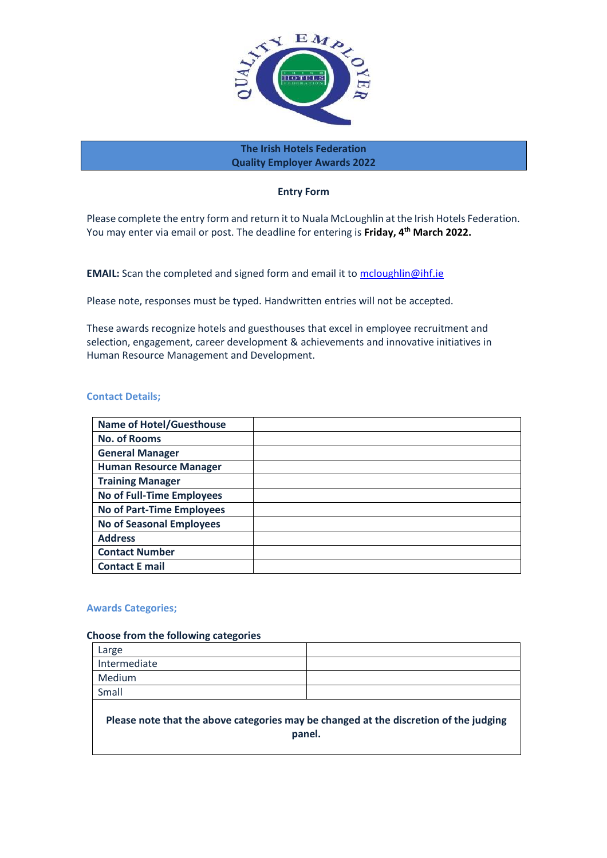

**The Irish Hotels Federation Quality Employer Awards 2022**

## **Entry Form**

Please complete the entry form and return it to Nuala McLoughlin at the Irish Hotels Federation. You may enter via email or post. The deadline for entering is Friday, 4<sup>th</sup> March 2022.

**EMAIL:** Scan the completed and signed form and email it to [mcloughlin@ihf.ie](mailto:mcloughlin@ihf.ie)

Please note, responses must be typed. Handwritten entries will not be accepted.

These awards recognize hotels and guesthouses that excel in employee recruitment and selection, engagement, career development & achievements and innovative initiatives in Human Resource Management and Development.

## **Contact Details;**

| <b>Name of Hotel/Guesthouse</b>  |  |
|----------------------------------|--|
| <b>No. of Rooms</b>              |  |
| <b>General Manager</b>           |  |
| <b>Human Resource Manager</b>    |  |
| <b>Training Manager</b>          |  |
| <b>No of Full-Time Employees</b> |  |
| <b>No of Part-Time Employees</b> |  |
| <b>No of Seasonal Employees</b>  |  |
| <b>Address</b>                   |  |
| <b>Contact Number</b>            |  |
| <b>Contact E mail</b>            |  |

#### **Awards Categories;**

#### **Choose from the following categories**

| Large        |  |
|--------------|--|
| Intermediate |  |
| Medium       |  |
| Small        |  |
|              |  |

# **Please note that the above categories may be changed at the discretion of the judging panel.**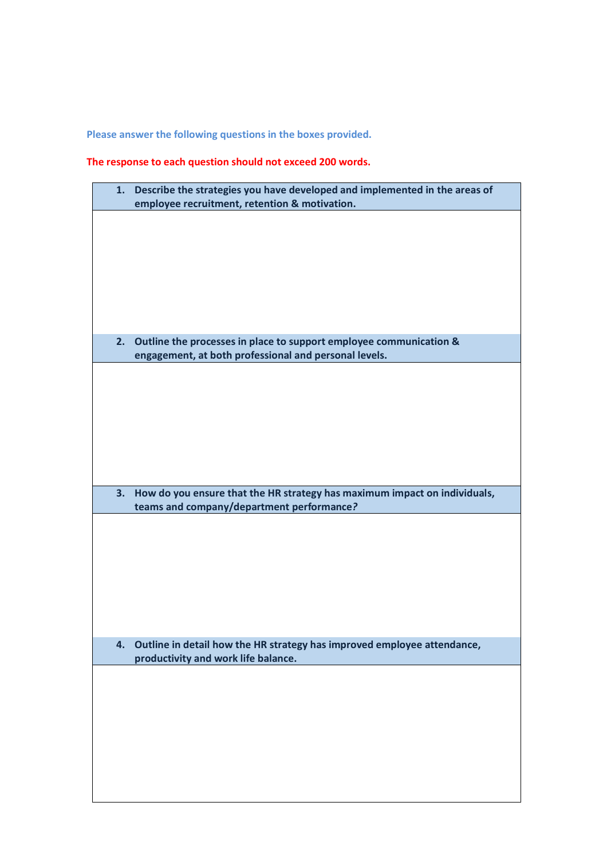**Please answer the following questions in the boxes provided.**

# **The response to each question should not exceed 200 words.**

| 1. | Describe the strategies you have developed and implemented in the areas of |
|----|----------------------------------------------------------------------------|
|    | employee recruitment, retention & motivation.                              |
|    |                                                                            |
|    |                                                                            |
|    |                                                                            |
|    |                                                                            |
|    |                                                                            |
|    |                                                                            |
|    |                                                                            |
|    |                                                                            |
|    |                                                                            |
|    |                                                                            |
|    |                                                                            |
|    |                                                                            |
|    |                                                                            |
| 2. | Outline the processes in place to support employee communication &         |
|    |                                                                            |
|    | engagement, at both professional and personal levels.                      |
|    |                                                                            |
|    |                                                                            |
|    |                                                                            |
|    |                                                                            |
|    |                                                                            |
|    |                                                                            |
|    |                                                                            |
|    |                                                                            |
|    |                                                                            |
|    |                                                                            |
|    |                                                                            |
|    |                                                                            |
|    |                                                                            |
| 3. | How do you ensure that the HR strategy has maximum impact on individuals,  |
|    |                                                                            |
|    |                                                                            |
|    | teams and company/department performance?                                  |
|    |                                                                            |
|    |                                                                            |
|    |                                                                            |
|    |                                                                            |
|    |                                                                            |
|    |                                                                            |
|    |                                                                            |
|    |                                                                            |
|    |                                                                            |
|    |                                                                            |
|    |                                                                            |
|    |                                                                            |
| 4. | Outline in detail how the HR strategy has improved employee attendance,    |
|    |                                                                            |
|    | productivity and work life balance.                                        |
|    |                                                                            |
|    |                                                                            |
|    |                                                                            |
|    |                                                                            |
|    |                                                                            |
|    |                                                                            |
|    |                                                                            |
|    |                                                                            |
|    |                                                                            |
|    |                                                                            |
|    |                                                                            |
|    |                                                                            |
|    |                                                                            |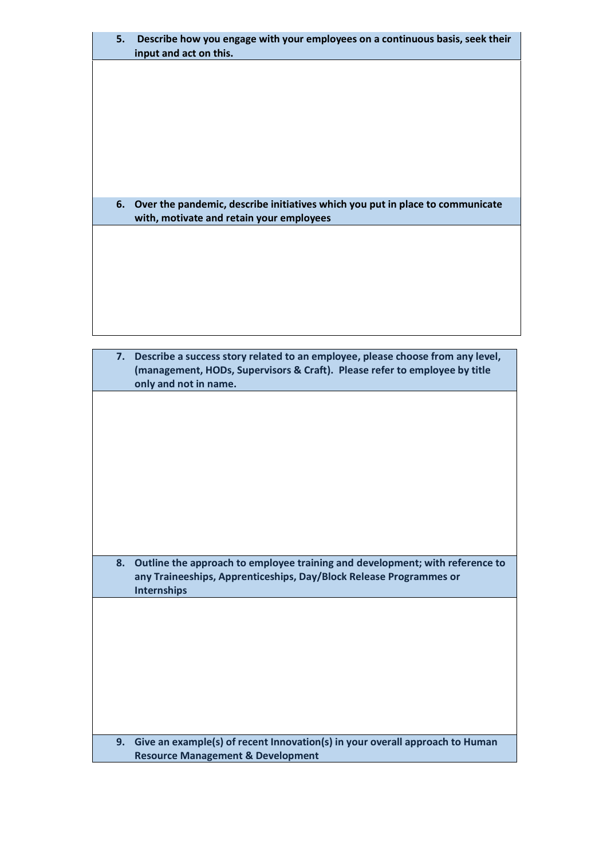| 5. | Describe how you engage with your employees on a continuous basis, seek their<br>input and act on this.                   |
|----|---------------------------------------------------------------------------------------------------------------------------|
|    |                                                                                                                           |
|    |                                                                                                                           |
|    |                                                                                                                           |
|    |                                                                                                                           |
|    |                                                                                                                           |
|    |                                                                                                                           |
| 6. | Over the pandemic, describe initiatives which you put in place to communicate<br>with, motivate and retain your employees |
|    |                                                                                                                           |
|    |                                                                                                                           |
|    |                                                                                                                           |
|    |                                                                                                                           |

| 7. | Describe a success story related to an employee, please choose from any level,<br>(management, HODs, Supervisors & Craft). Please refer to employee by title<br>only and not in name. |
|----|---------------------------------------------------------------------------------------------------------------------------------------------------------------------------------------|
|    |                                                                                                                                                                                       |
|    |                                                                                                                                                                                       |
|    |                                                                                                                                                                                       |
|    |                                                                                                                                                                                       |
|    |                                                                                                                                                                                       |
|    |                                                                                                                                                                                       |
|    |                                                                                                                                                                                       |
| 8. | Outline the approach to employee training and development; with reference to<br>any Traineeships, Apprenticeships, Day/Block Release Programmes or<br><b>Internships</b>              |
|    |                                                                                                                                                                                       |
|    |                                                                                                                                                                                       |
|    |                                                                                                                                                                                       |
|    |                                                                                                                                                                                       |
|    |                                                                                                                                                                                       |
|    |                                                                                                                                                                                       |
| 9. | Give an example(s) of recent Innovation(s) in your overall approach to Human<br><b>Resource Management &amp; Development</b>                                                          |
|    |                                                                                                                                                                                       |